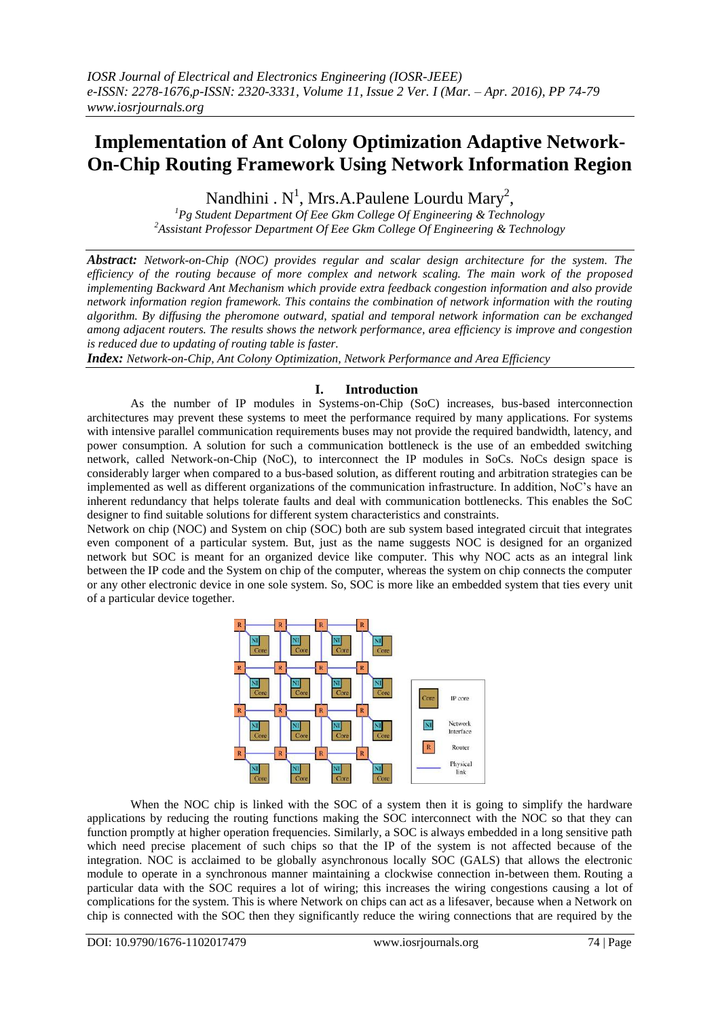# **Implementation of Ant Colony Optimization Adaptive Network-On-Chip Routing Framework Using Network Information Region**

Nandhini . N<sup>1</sup>, Mrs.A.Paulene Lourdu Mary<sup>2</sup>,

*<sup>1</sup>Pg Student Department Of Eee Gkm College Of Engineering & Technology <sup>2</sup>Assistant Professor Department Of Eee Gkm College Of Engineering & Technology*

*Abstract: Network-on-Chip (NOC) provides regular and scalar design architecture for the system. The efficiency of the routing because of more complex and network scaling. The main work of the proposed implementing Backward Ant Mechanism which provide extra feedback congestion information and also provide network information region framework. This contains the combination of network information with the routing algorithm. By diffusing the pheromone outward, spatial and temporal network information can be exchanged among adjacent routers. The results shows the network performance, area efficiency is improve and congestion is reduced due to updating of routing table is faster.*

*Index: Network-on-Chip, Ant Colony Optimization, Network Performance and Area Efficiency*

# **I. Introduction**

As the number of IP modules in Systems-on-Chip (SoC) increases, bus-based interconnection architectures may prevent these systems to meet the performance required by many applications. For systems with intensive parallel communication requirements buses may not provide the required bandwidth, latency, and power consumption. A solution for such a communication bottleneck is the use of an embedded switching network, called Network-on-Chip (NoC), to interconnect the IP modules in SoCs. NoCs design space is considerably larger when compared to a bus-based solution, as different routing and arbitration strategies can be implemented as well as different organizations of the communication infrastructure. In addition, NoC's have an inherent redundancy that helps tolerate faults and deal with communication bottlenecks. This enables the SoC designer to find suitable solutions for different system characteristics and constraints.

Network on chip (NOC) and System on chip (SOC) both are sub system based integrated circuit that integrates even component of a particular system. But, just as the name suggests NOC is designed for an organized network but SOC is meant for an organized device like computer. This why NOC acts as an integral link between the IP code and the System on chip of the computer, whereas the system on chip connects the computer or any other electronic device in one sole system. So, SOC is more like an embedded system that ties every unit of a particular device together.



When the NOC chip is linked with the SOC of a system then it is going to simplify the hardware applications by reducing the routing functions making the SOC interconnect with the NOC so that they can function promptly at higher operation frequencies. Similarly, a SOC is always embedded in a long sensitive path which need precise placement of such chips so that the IP of the system is not affected because of the integration. NOC is acclaimed to be globally asynchronous locally SOC (GALS) that allows the electronic module to operate in a synchronous manner maintaining a clockwise connection in-between them. Routing a particular data with the SOC requires a lot of wiring; this increases the wiring congestions causing a lot of complications for the system. This is where Network on chips can act as a lifesaver, because when a Network on chip is connected with the SOC then they significantly reduce the wiring connections that are required by the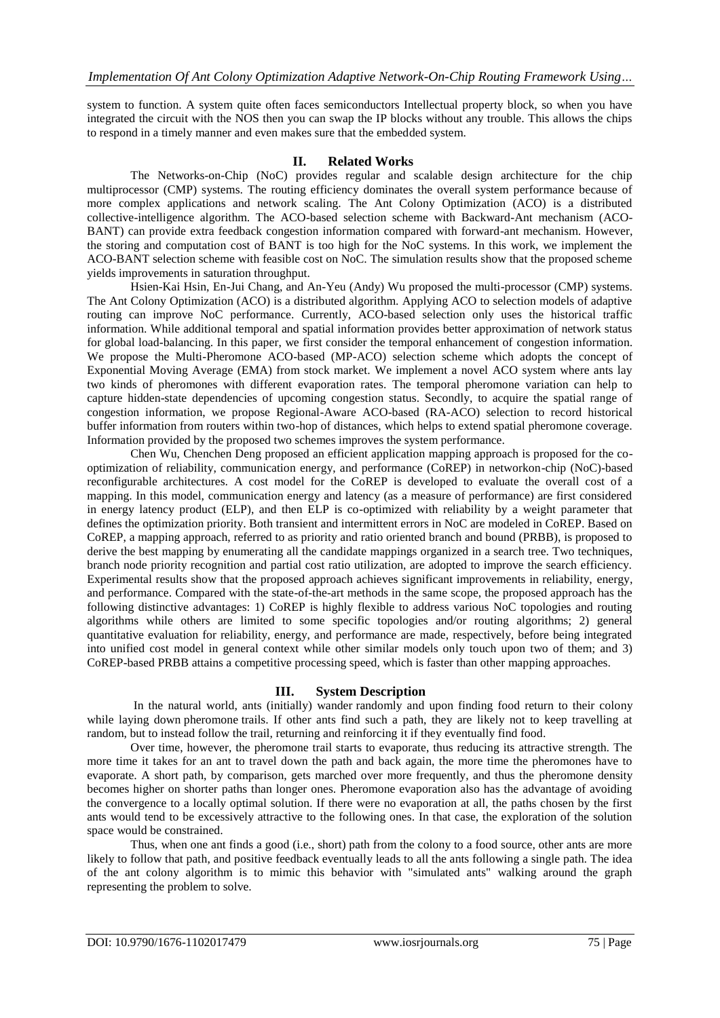system to function. A system quite often faces semiconductors Intellectual property block, so when you have integrated the circuit with the NOS then you can swap the IP blocks without any trouble. This allows the chips to respond in a timely manner and even makes sure that the embedded system.

## **II. Related Works**

The Networks-on-Chip (NoC) provides regular and scalable design architecture for the chip multiprocessor (CMP) systems. The routing efficiency dominates the overall system performance because of more complex applications and network scaling. The Ant Colony Optimization (ACO) is a distributed collective-intelligence algorithm. The ACO-based selection scheme with Backward-Ant mechanism (ACO-BANT) can provide extra feedback congestion information compared with forward-ant mechanism. However, the storing and computation cost of BANT is too high for the NoC systems. In this work, we implement the ACO-BANT selection scheme with feasible cost on NoC. The simulation results show that the proposed scheme yields improvements in saturation throughput.

Hsien-Kai Hsin, En-Jui Chang, and An-Yeu (Andy) Wu proposed the multi-processor (CMP) systems. The Ant Colony Optimization (ACO) is a distributed algorithm. Applying ACO to selection models of adaptive routing can improve NoC performance. Currently, ACO-based selection only uses the historical traffic information. While additional temporal and spatial information provides better approximation of network status for global load-balancing. In this paper, we first consider the temporal enhancement of congestion information. We propose the Multi-Pheromone ACO-based (MP-ACO) selection scheme which adopts the concept of Exponential Moving Average (EMA) from stock market. We implement a novel ACO system where ants lay two kinds of pheromones with different evaporation rates. The temporal pheromone variation can help to capture hidden-state dependencies of upcoming congestion status. Secondly, to acquire the spatial range of congestion information, we propose Regional-Aware ACO-based (RA-ACO) selection to record historical buffer information from routers within two-hop of distances, which helps to extend spatial pheromone coverage. Information provided by the proposed two schemes improves the system performance.

Chen Wu, Chenchen Deng proposed an efficient application mapping approach is proposed for the cooptimization of reliability, communication energy, and performance (CoREP) in networkon-chip (NoC)-based reconfigurable architectures. A cost model for the CoREP is developed to evaluate the overall cost of a mapping. In this model, communication energy and latency (as a measure of performance) are first considered in energy latency product (ELP), and then ELP is co-optimized with reliability by a weight parameter that defines the optimization priority. Both transient and intermittent errors in NoC are modeled in CoREP. Based on CoREP, a mapping approach, referred to as priority and ratio oriented branch and bound (PRBB), is proposed to derive the best mapping by enumerating all the candidate mappings organized in a search tree. Two techniques, branch node priority recognition and partial cost ratio utilization, are adopted to improve the search efficiency. Experimental results show that the proposed approach achieves significant improvements in reliability, energy, and performance. Compared with the state-of-the-art methods in the same scope, the proposed approach has the following distinctive advantages: 1) CoREP is highly flexible to address various NoC topologies and routing algorithms while others are limited to some specific topologies and/or routing algorithms; 2) general quantitative evaluation for reliability, energy, and performance are made, respectively, before being integrated into unified cost model in general context while other similar models only touch upon two of them; and 3) CoREP-based PRBB attains a competitive processing speed, which is faster than other mapping approaches.

## **III. System Description**

In the natural world, ants (initially) wander randomly and upon finding food return to their colony while laying down pheromone trails. If other ants find such a path, they are likely not to keep travelling at random, but to instead follow the trail, returning and reinforcing it if they eventually find food.

Over time, however, the pheromone trail starts to evaporate, thus reducing its attractive strength. The more time it takes for an ant to travel down the path and back again, the more time the pheromones have to evaporate. A short path, by comparison, gets marched over more frequently, and thus the pheromone density becomes higher on shorter paths than longer ones. Pheromone evaporation also has the advantage of avoiding the convergence to a locally optimal solution. If there were no evaporation at all, the paths chosen by the first ants would tend to be excessively attractive to the following ones. In that case, the exploration of the solution space would be constrained.

Thus, when one ant finds a good (i.e., short) path from the colony to a food source, other ants are more likely to follow that path, and positive feedback eventually leads to all the ants following a single path. The idea of the ant colony algorithm is to mimic this behavior with "simulated ants" walking around the graph representing the problem to solve.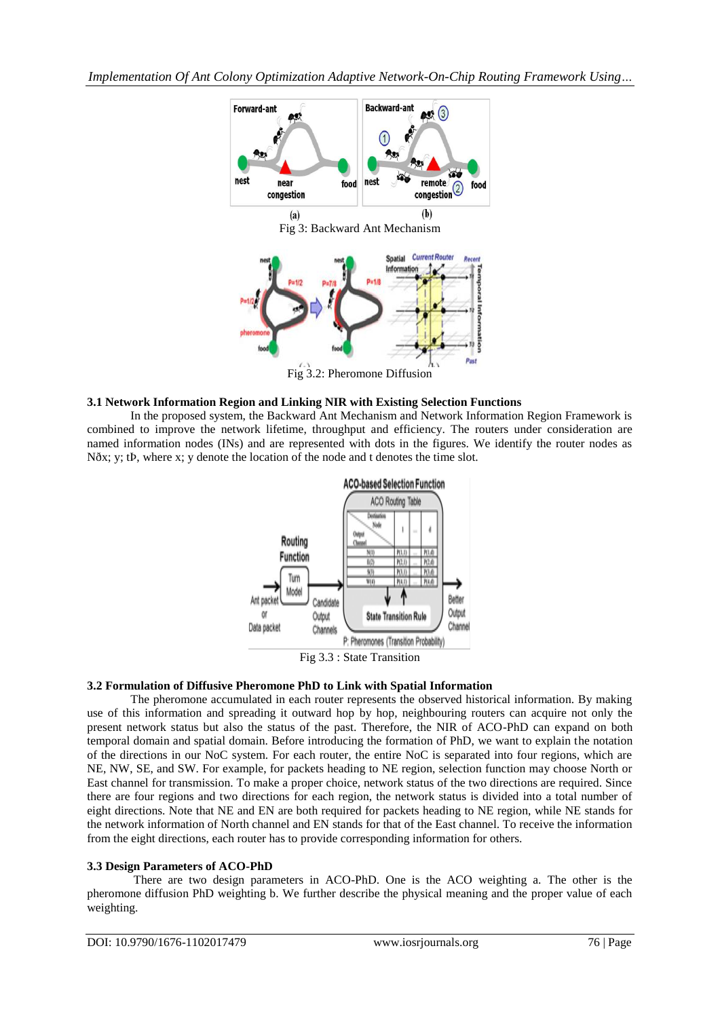

#### **3.1 Network Information Region and Linking NIR with Existing Selection Functions**

In the proposed system, the Backward Ant Mechanism and Network Information Region Framework is combined to improve the network lifetime, throughput and efficiency. The routers under consideration are named information nodes (INs) and are represented with dots in the figures. We identify the router nodes as Nðx; y; tÞ, where x; y denote the location of the node and t denotes the time slot.



## **3.2 Formulation of Diffusive Pheromone PhD to Link with Spatial Information**

The pheromone accumulated in each router represents the observed historical information. By making use of this information and spreading it outward hop by hop, neighbouring routers can acquire not only the present network status but also the status of the past. Therefore, the NIR of ACO-PhD can expand on both temporal domain and spatial domain. Before introducing the formation of PhD, we want to explain the notation of the directions in our NoC system. For each router, the entire NoC is separated into four regions, which are NE, NW, SE, and SW. For example, for packets heading to NE region, selection function may choose North or East channel for transmission. To make a proper choice, network status of the two directions are required. Since there are four regions and two directions for each region, the network status is divided into a total number of eight directions. Note that NE and EN are both required for packets heading to NE region, while NE stands for the network information of North channel and EN stands for that of the East channel. To receive the information from the eight directions, each router has to provide corresponding information for others.

#### **3.3 Design Parameters of ACO-PhD**

There are two design parameters in ACO-PhD. One is the ACO weighting a. The other is the pheromone diffusion PhD weighting b. We further describe the physical meaning and the proper value of each weighting.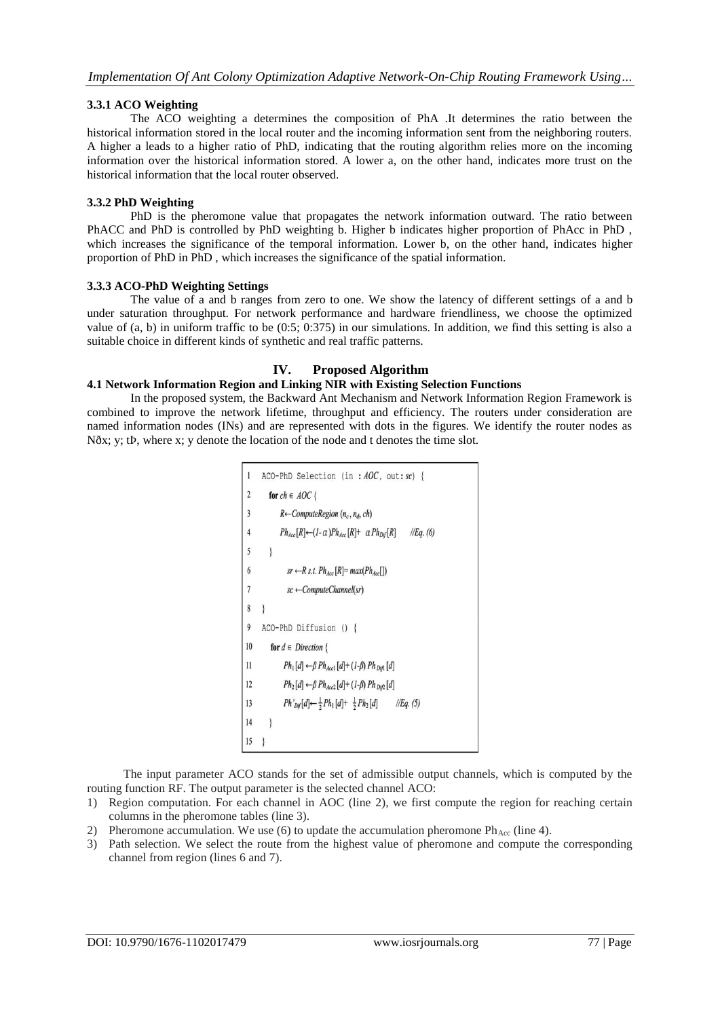## **3.3.1 ACO Weighting**

The ACO weighting a determines the composition of PhA .It determines the ratio between the historical information stored in the local router and the incoming information sent from the neighboring routers. A higher a leads to a higher ratio of PhD, indicating that the routing algorithm relies more on the incoming information over the historical information stored. A lower a, on the other hand, indicates more trust on the historical information that the local router observed.

#### **3.3.2 PhD Weighting**

PhD is the pheromone value that propagates the network information outward. The ratio between PhACC and PhD is controlled by PhD weighting b. Higher b indicates higher proportion of PhAcc in PhD, which increases the significance of the temporal information. Lower b, on the other hand, indicates higher proportion of PhD in PhD , which increases the significance of the spatial information.

#### **3.3.3 ACO-PhD Weighting Settings**

The value of a and b ranges from zero to one. We show the latency of different settings of a and b under saturation throughput. For network performance and hardware friendliness, we choose the optimized value of (a, b) in uniform traffic to be  $(0.5, 0.375)$  in our simulations. In addition, we find this setting is also a suitable choice in different kinds of synthetic and real traffic patterns.

#### **IV. Proposed Algorithm**

#### **4.1 Network Information Region and Linking NIR with Existing Selection Functions**

In the proposed system, the Backward Ant Mechanism and Network Information Region Framework is combined to improve the network lifetime, throughput and efficiency. The routers under consideration are named information nodes (INs) and are represented with dots in the figures. We identify the router nodes as Nðx; y; tÞ, where x; y denote the location of the node and t denotes the time slot.

```
1 ACO-PhD Selection (in : AOC, out: sc) {
\overline{2}for ch \in AOC {
\overline{3}R \leftarrow ComputeRegion(n_c, n_d, ch)\overline{4}Ph_{Acc}[R] \leftarrow (1-\alpha) Ph_{Acc}[R] + \alpha Ph_{Diff}[R]//Eq. (6)\overline{\mathbf{5}}\mathcal{E}6
                   sr \leftarrow R s.t. Ph_{Acc}[R] = max(Ph_{Acc}[])\overline{7}sc \leftarrow ComputeChannel(sr)\boldsymbol{8}\{9 ACO-PhD Diffusion () {
10<sup>10</sup>for d \in Direction {
11Ph_1[d] \leftarrow \beta Ph_{Acc1}[d] + (1-\beta) Ph_{Di1}[d]12Ph_2[d] \leftarrow \beta Ph_{Acc2}[d] + (1-\beta) Ph_{Di2}[d]13Ph'_{\text{Dif}}[d] \leftarrow \frac{1}{2} Ph_1[d] + \frac{1}{2} Ph_2[d]I/Ea. (5)14\{15}
```
The input parameter ACO stands for the set of admissible output channels, which is computed by the routing function RF. The output parameter is the selected channel ACO:

- 1) Region computation. For each channel in AOC (line 2), we first compute the region for reaching certain columns in the pheromone tables (line 3).
- 2) Pheromone accumulation. We use (6) to update the accumulation pheromone  $Ph_{Acc}$  (line 4).
- 3) Path selection. We select the route from the highest value of pheromone and compute the corresponding channel from region (lines 6 and 7).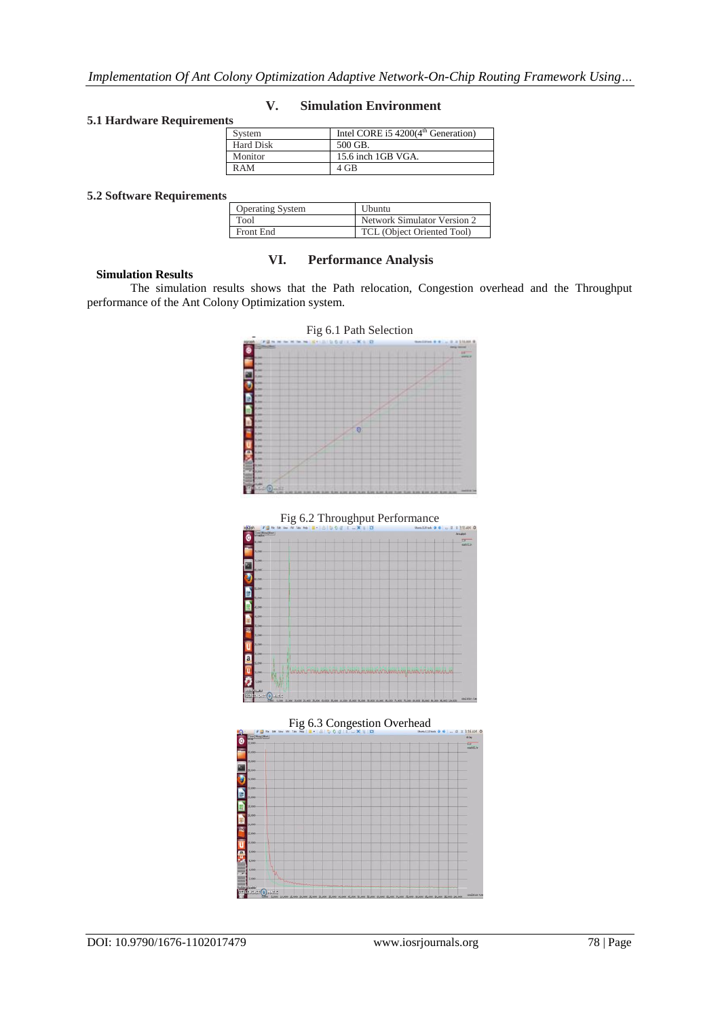#### **V. Simulation Environment**

## **5.1 Hardware Requirements**

| .          |                                          |
|------------|------------------------------------------|
| Svstem     | Intel CORE $i$ 5 4200( $4th$ Generation) |
| Hard Disk  | $500$ GB.                                |
| Monitor    | 15.6 inch 1GB VGA.                       |
| <b>RAM</b> | 4 GB                                     |

#### **5.2 Software Requirements**

| <b>Operating System</b> | <b>Ubuntu</b>               |
|-------------------------|-----------------------------|
| Tool                    | Network Simulator Version 2 |
| Front End               | TCL (Object Oriented Tool)  |

# **VI. Performance Analysis**

#### **Simulation Results**

The simulation results shows that the Path relocation, Congestion overhead and the Throughput performance of the Ant Colony Optimization system.